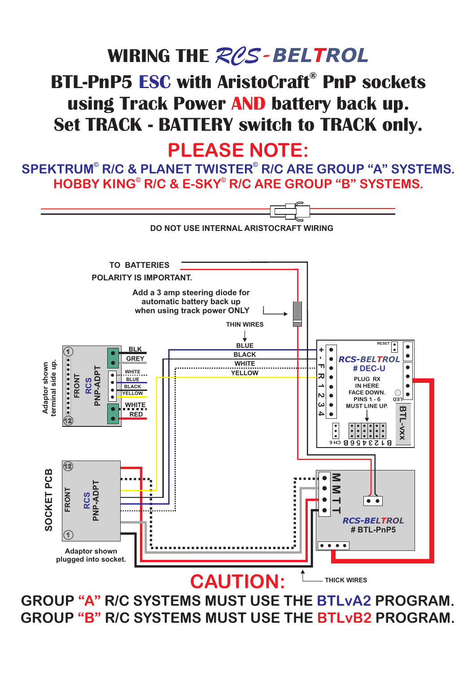## **WIRING THE**  *RCS - T BEL ROL* **BTL-PnP5 ESC with AristoCraft<sup>®</sup> PnP sockets** using Track Power AND battery back up. **Set TRACK - BATTERY switch to TRACK only.**

#### **PLEASE NOTE:**

**HOBBY KING © © R/C & E-SKY R/C ARE GROUP "B" SYSTEMS.**  $\mathsf{SPEKTRUM}^{\circ}$  R/C & PLANET TWISTER $^{\circ}$  R/C ARE GROUP "A" SYSTEMS.



GROUP "A" R/C SYSTEMS MUST USE THE BTLvA2 PROGRAM. GROUP "B" R/C SYSTEMS MUST USE THE BTLvB2 PROGRAM.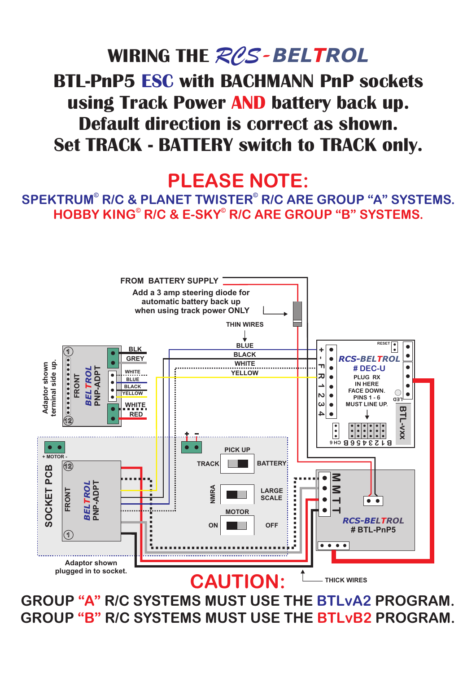## **WIRING THE**  *RCS - BELTROL* **BTL-PnP5 ESC with BACHMANN PnP sockets** using Track Power AND battery back up. **Default direction is correct as shown. Set TRACK - BATTERY switch to TRACK only.**

### **PLEASE NOTE:**

**HOBBY KING © © R/C & E-SKY R/C ARE GROUP "B" SYSTEMS.**  $\mathsf{SPEKTRUM}^{\circ}$  R/C & PLANET TWISTER $^{\circ}$  R/C ARE GROUP "A" SYSTEMS.



GROUP "A" R/C SYSTEMS MUST USE THE BTLvA2 PROGRAM. GROUP "B" R/C SYSTEMS MUST USE THE BTLvB2 PROGRAM.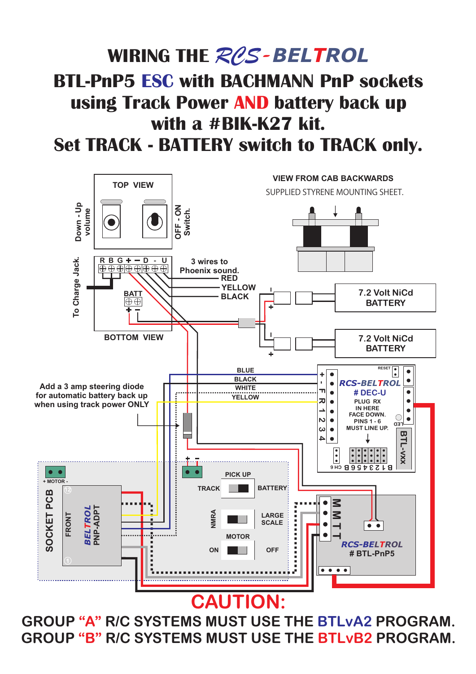# **WIRING THE**  *RCS - T BEL ROL* **BTL-PnP5 ESC with BACHMANN PnP sockets** using Track Power AND battery back up **with a #BIK-K27 kit.**

**Set TRACK - BATTERY switch to TRACK only.**



GROUP "A" R/C SYSTEMS MUST USE THE BTLvA2 PROGRAM. GROUP "B" R/C SYSTEMS MUST USE THE BTLvB2 PROGRAM.